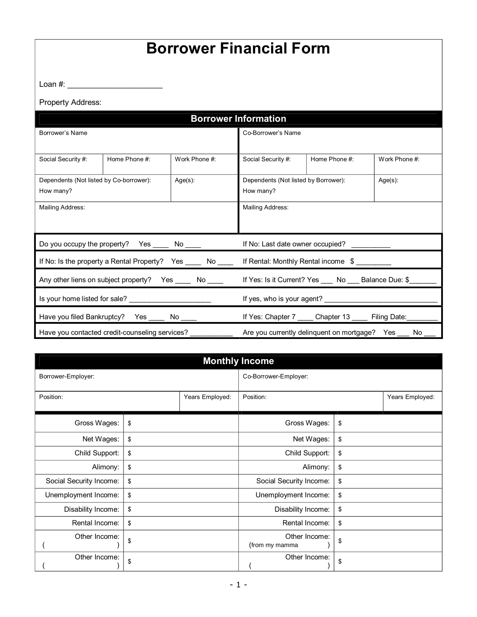## **Borrower Financial Form**

Loan #: \_\_\_\_\_\_\_\_\_\_\_\_\_\_\_\_\_\_\_\_\_\_

Property Address:

|                                                                                                         |               |                                               | <b>Borrower Information</b>                        |                                                      |               |  |
|---------------------------------------------------------------------------------------------------------|---------------|-----------------------------------------------|----------------------------------------------------|------------------------------------------------------|---------------|--|
| Borrower's Name                                                                                         |               | Co-Borrower's Name                            |                                                    |                                                      |               |  |
|                                                                                                         |               |                                               |                                                    |                                                      |               |  |
| Social Security #:                                                                                      | Home Phone #: | Work Phone #:                                 | Social Security #:                                 | Home Phone #:                                        | Work Phone #: |  |
| Dependents (Not listed by Co-borrower):                                                                 |               | $Age(s)$ :                                    | $Age(s)$ :<br>Dependents (Not listed by Borrower): |                                                      |               |  |
| How many?                                                                                               |               | How many?                                     |                                                    |                                                      |               |  |
| Mailing Address:                                                                                        |               | Mailing Address:                              |                                                    |                                                      |               |  |
|                                                                                                         |               |                                               |                                                    |                                                      |               |  |
| Do you occupy the property? Yes ______ No _____                                                         |               |                                               |                                                    | If No: Last date owner occupied?                     |               |  |
| If No: Is the property a Rental Property? Yes ______ No _____                                           |               |                                               | If Rental: Monthly Rental income \$                |                                                      |               |  |
| Any other liens on subject property? Yes ______ No _____                                                |               | If Yes: Is it Current? Yes No Balance Due: \$ |                                                    |                                                      |               |  |
| Is your home listed for sale?                                                                           |               |                                               |                                                    |                                                      |               |  |
| If Yes: Chapter 7 _____ Chapter 13 _____ Filing Date:<br>Have you filed Bankruptcy? Yes ______ No _____ |               |                                               |                                                    |                                                      |               |  |
| Have you contacted credit-counseling services?                                                          |               |                                               |                                                    | Are you currently delinquent on mortgage? Yes<br>No. |               |  |

|                              |    |           | <b>Monthly Income</b>           |    |  |
|------------------------------|----|-----------|---------------------------------|----|--|
| Borrower-Employer:           |    |           | Co-Borrower-Employer:           |    |  |
| Years Employed:<br>Position: |    | Position: | Years Employed:                 |    |  |
| Gross Wages:                 | \$ |           | Gross Wages:                    | \$ |  |
| Net Wages:                   | \$ |           | Net Wages:                      | \$ |  |
| Child Support:               | \$ |           | Child Support:                  | \$ |  |
| Alimony:                     | \$ |           | Alimony:                        | \$ |  |
| Social Security Income:      | \$ |           | Social Security Income:         | \$ |  |
| Unemployment Income:         | \$ |           | Unemployment Income:            | \$ |  |
| Disability Income:           | \$ |           | Disability Income:              | \$ |  |
| Rental Income:               | \$ |           | Rental Income:                  | \$ |  |
| Other Income:                | \$ |           | Other Income:<br>(from my mamma | \$ |  |
| Other Income:                | \$ |           | Other Income:                   | \$ |  |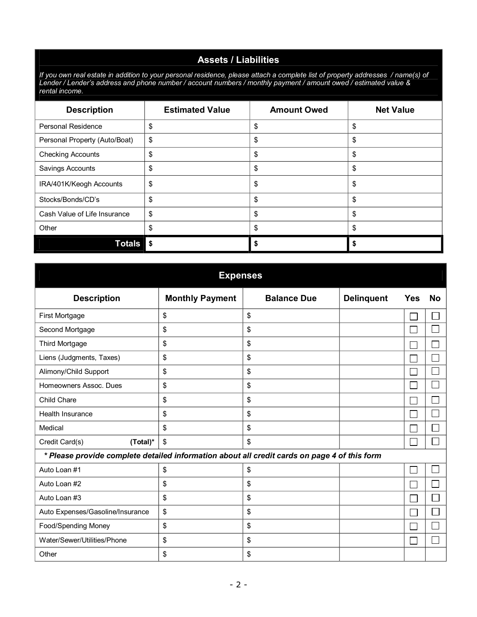#### **Assets / Liabilities**

If you own real estate in addition to your personal residence, please attach a complete list of property addresses /name(s) of Lender / Lender's address and phone number / account numbers / monthly payment / amount owed / estimated value & *rental income.*

| <b>Description</b>            | <b>Estimated Value</b> | <b>Amount Owed</b> | <b>Net Value</b> |
|-------------------------------|------------------------|--------------------|------------------|
| Personal Residence            | \$                     | \$                 | \$               |
| Personal Property (Auto/Boat) | \$                     | \$                 | \$               |
| <b>Checking Accounts</b>      | \$                     | \$                 | \$               |
| Savings Accounts              | \$                     | $\frac{1}{2}$      | \$               |
| IRA/401K/Keogh Accounts       | \$                     | \$                 | \$               |
| Stocks/Bonds/CD's             | \$                     | \$                 | \$               |
| Cash Value of Life Insurance  | \$                     | \$                 | \$               |
| Other                         | \$                     | \$                 | \$               |
| <b>Totals</b>                 | \$                     |                    |                  |

| <b>Expenses</b>                                                                              |                        |                    |                   |     |           |
|----------------------------------------------------------------------------------------------|------------------------|--------------------|-------------------|-----|-----------|
| <b>Description</b>                                                                           | <b>Monthly Payment</b> | <b>Balance Due</b> | <b>Delinquent</b> | Yes | <b>No</b> |
| First Mortgage                                                                               | \$                     | \$                 |                   |     |           |
| Second Mortgage                                                                              | \$                     | \$                 |                   |     |           |
| Third Mortgage                                                                               | \$                     | \$                 |                   |     |           |
| Liens (Judgments, Taxes)                                                                     | \$                     | \$                 |                   |     |           |
| Alimony/Child Support                                                                        | \$                     | \$                 |                   |     |           |
| Homeowners Assoc. Dues                                                                       | \$                     | \$                 |                   |     |           |
| Child Chare                                                                                  | \$                     | \$                 |                   |     |           |
| Health Insurance                                                                             | \$                     | \$                 |                   |     |           |
| Medical                                                                                      | \$                     | \$                 |                   |     |           |
| Credit Card(s)<br>(Total)*                                                                   | \$                     | \$                 |                   |     |           |
| * Please provide complete detailed information about all credit cards on page 4 of this form |                        |                    |                   |     |           |
| Auto Loan #1                                                                                 | \$                     | \$                 |                   |     |           |
| Auto Loan #2                                                                                 | \$                     | \$                 |                   |     |           |
| Auto Loan #3                                                                                 | \$                     | \$                 |                   |     |           |
| Auto Expenses/Gasoline/Insurance                                                             | \$                     | \$                 |                   |     |           |
| Food/Spending Money                                                                          | \$                     | \$                 |                   |     |           |
| Water/Sewer/Utilities/Phone                                                                  | \$                     | \$                 |                   |     |           |
| Other                                                                                        | \$                     | \$                 |                   |     |           |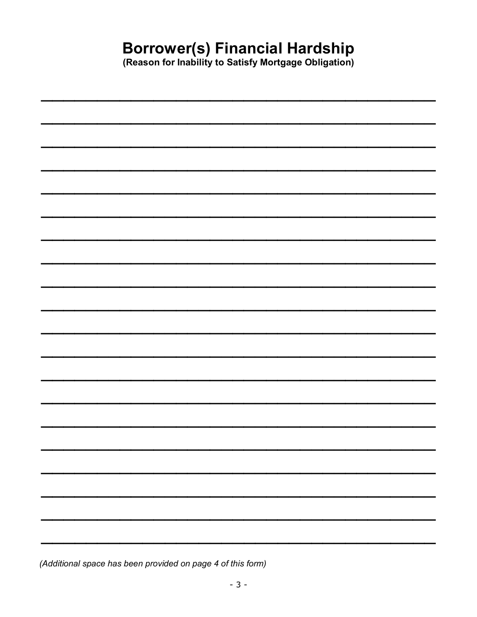# **Borrower(s) Financial Hardship**<br>(Reason for Inability to Satisfy Mortgage Obligation)

| ____                          |   |
|-------------------------------|---|
|                               |   |
|                               |   |
|                               |   |
|                               |   |
|                               |   |
| <u> and the second second</u> |   |
|                               |   |
|                               |   |
|                               |   |
|                               |   |
|                               |   |
| <b>The Company's Service</b>  |   |
|                               |   |
|                               |   |
|                               |   |
|                               |   |
|                               |   |
|                               |   |
|                               |   |
|                               |   |
|                               |   |
|                               |   |
|                               |   |
|                               |   |
|                               |   |
|                               |   |
|                               |   |
|                               |   |
|                               |   |
| $\sim$                        | ۰ |
|                               |   |
|                               |   |
|                               |   |
|                               |   |
|                               |   |
|                               |   |
|                               |   |
|                               |   |
|                               |   |

(Additional space has been provided on page 4 of this form)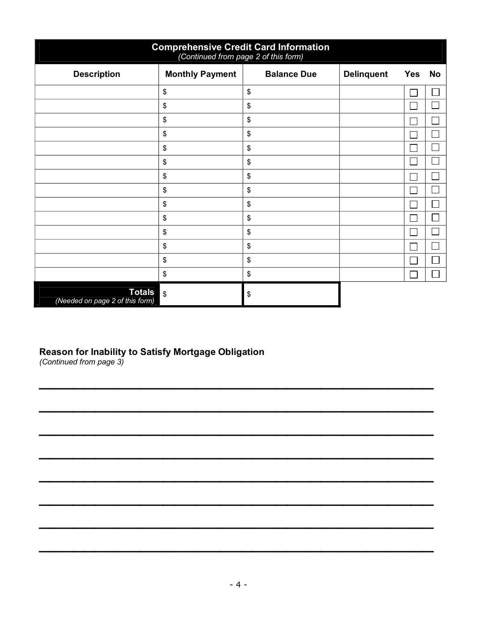| <b>Comprehensive Credit Card Information</b><br>(Continued from page 2 of this form) |                         |                    |                   |                         |  |
|--------------------------------------------------------------------------------------|-------------------------|--------------------|-------------------|-------------------------|--|
| <b>Description</b>                                                                   | <b>Monthly Payment</b>  | <b>Balance Due</b> | <b>Delinquent</b> | <b>No</b><br><b>Yes</b> |  |
|                                                                                      | \$                      | \$                 |                   |                         |  |
|                                                                                      | \$                      | \$                 |                   |                         |  |
|                                                                                      | \$                      | \$                 |                   |                         |  |
|                                                                                      | \$                      | \$                 |                   |                         |  |
|                                                                                      | \$                      | \$                 |                   |                         |  |
|                                                                                      | \$                      | \$                 |                   |                         |  |
|                                                                                      | \$                      | \$                 |                   |                         |  |
|                                                                                      | \$                      | \$                 |                   |                         |  |
|                                                                                      | \$                      | \$                 |                   |                         |  |
|                                                                                      | \$                      | \$                 |                   |                         |  |
|                                                                                      | \$                      | \$                 |                   |                         |  |
|                                                                                      | \$                      | \$                 |                   |                         |  |
|                                                                                      | \$                      | \$                 |                   |                         |  |
|                                                                                      | \$                      | \$                 |                   |                         |  |
| <b>Totals</b><br>(Needed on page 2 of this form)                                     | $\overline{\mathbf{3}}$ | \$                 |                   |                         |  |

#### **Reason for Inability to Satisfy Mortgage Obligation**

*(Continued from page 3)*

 $\mathcal{L}=\{1,2,3,4\}$  , we can assume that  $\mathcal{L}=\{1,2,3,4\}$  , we can assume that  $\mathcal{L}=\{1,2,3,4\}$ 

 $\overline{\phantom{a}}$  ,  $\overline{\phantom{a}}$  ,  $\overline{\phantom{a}}$  ,  $\overline{\phantom{a}}$  ,  $\overline{\phantom{a}}$  ,  $\overline{\phantom{a}}$  ,  $\overline{\phantom{a}}$  ,  $\overline{\phantom{a}}$  ,  $\overline{\phantom{a}}$  ,  $\overline{\phantom{a}}$  ,  $\overline{\phantom{a}}$  ,  $\overline{\phantom{a}}$  ,  $\overline{\phantom{a}}$  ,  $\overline{\phantom{a}}$  ,  $\overline{\phantom{a}}$  ,  $\overline{\phantom{a}}$ 

 $\mathcal{L}=\{1,2,3,4\}$  , we can assume that  $\mathcal{L}=\{1,2,3,4\}$  , we can assume that  $\mathcal{L}=\{1,2,3,4\}$ 

 $\mathcal{L}=\{1,2,3,4\}$  , we can assume that  $\mathcal{L}=\{1,2,3,4\}$  , we can assume that  $\mathcal{L}=\{1,2,3,4\}$ 

 $\mathcal{L}=\{1,2,3,4\}$  , we can assume that  $\mathcal{L}=\{1,2,3,4\}$  , we can assume that  $\mathcal{L}=\{1,2,3,4\}$ 

 $\mathcal{L}=\{1,2,3,4\}$  , we can assume that  $\mathcal{L}=\{1,2,3,4\}$  , we can assume that  $\mathcal{L}=\{1,2,3,4\}$ 

 $\mathcal{L}=\{1,2,3,4\}$  , we can assume that  $\mathcal{L}=\{1,2,3,4\}$  , we can assume that  $\mathcal{L}=\{1,2,3,4\}$ 

 $\mathcal{L}=\{1,2,3,4\}$  , we can assume that  $\mathcal{L}=\{1,2,3,4\}$  , we can assume that  $\mathcal{L}=\{1,2,3,4\}$